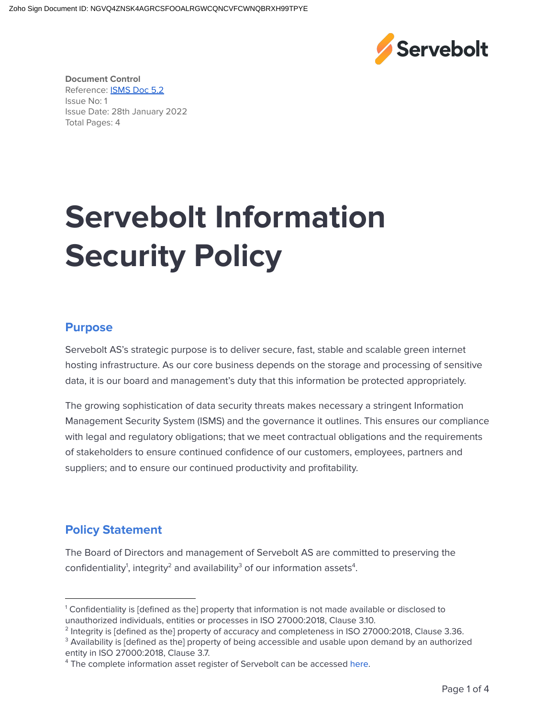

**Document Control** Reference: **[ISMS](https://servebolt.atlassian.net/wiki/spaces/ISMS/pages/2615533391128/5.2+Policy) Doc 5.2** Issue No: 1 Issue Date: 28th January 2022 Total Pages: 4

# **Servebolt Information Security Policy**

#### **Purpose**

Servebolt AS's strategic purpose is to deliver secure, fast, stable and scalable green internet hosting infrastructure. As our core business depends on the storage and processing of sensitive data, it is our board and management's duty that this information be protected appropriately.

The growing sophistication of data security threats makes necessary a stringent Information Management Security System (ISMS) and the governance it outlines. This ensures our compliance with legal and regulatory obligations; that we meet contractual obligations and the requirements of stakeholders to ensure continued confidence of our customers, employees, partners and suppliers; and to ensure our continued productivity and profitability.

#### **Policy Statement**

The Board of Directors and management of Servebolt AS are committed to preserving the confidentiality<sup>1</sup>, integrity<sup>2</sup> and availability<sup>3</sup> of our information assets<sup>4</sup>.

 $1$  Confidentiality is [defined as the] property that information is not made available or disclosed to unauthorized individuals, entities or processes in ISO 27000:2018, Clause 3.10.

 $^2$  Integrity is [defined as the] property of accuracy and completeness in ISO 27000:2018, Clause 3.36.

<sup>&</sup>lt;sup>3</sup> Availability is [defined as the] property of being accessible and usable upon demand by an authorized entity in ISO 27000:2018, Clause 3.7.

<sup>&</sup>lt;sup>4</sup> The complete information asset register of Servebolt can be accessed here.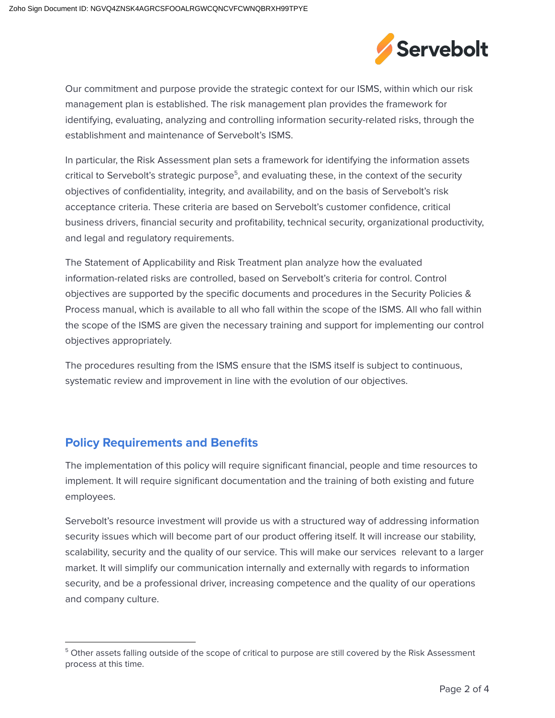

Our commitment and purpose provide the strategic context for our ISMS, within which our risk management plan is established. The risk management plan provides the framework for identifying, evaluating, analyzing and controlling information security-related risks, through the establishment and maintenance of Servebolt's ISMS.

In particular, the Risk Assessment plan sets a framework for identifying the information assets critical to Servebolt's strategic purpose<sup>5</sup>, and evaluating these, in the context of the security objectives of confidentiality, integrity, and availability, and on the basis of Servebolt's risk acceptance criteria. These criteria are based on Servebolt's customer confidence, critical business drivers, financial security and profitability, technical security, organizational productivity, and legal and regulatory requirements.

The Statement of Applicability and Risk Treatment plan analyze how the evaluated information-related risks are controlled, based on Servebolt's criteria for control. Control objectives are supported by the specific documents and procedures in the Security Policies & Process manual, which is available to all who fall within the scope of the ISMS. All who fall within the scope of the ISMS are given the necessary training and support for implementing our control objectives appropriately.

The procedures resulting from the ISMS ensure that the ISMS itself is subject to continuous, systematic review and improvement in line with the evolution of our objectives.

## **Policy Requirements and Benefits**

The implementation of this policy will require significant financial, people and time resources to implement. It will require significant documentation and the training of both existing and future employees.

Servebolt's resource investment will provide us with a structured way of addressing information security issues which will become part of our product offering itself. It will increase our stability, scalability, security and the quality of our service. This will make our services relevant to a larger market. It will simplify our communication internally and externally with regards to information security, and be a professional driver, increasing competence and the quality of our operations and company culture.

<sup>&</sup>lt;sup>5</sup> Other assets falling outside of the scope of critical to purpose are still covered by the Risk Assessment process at this time.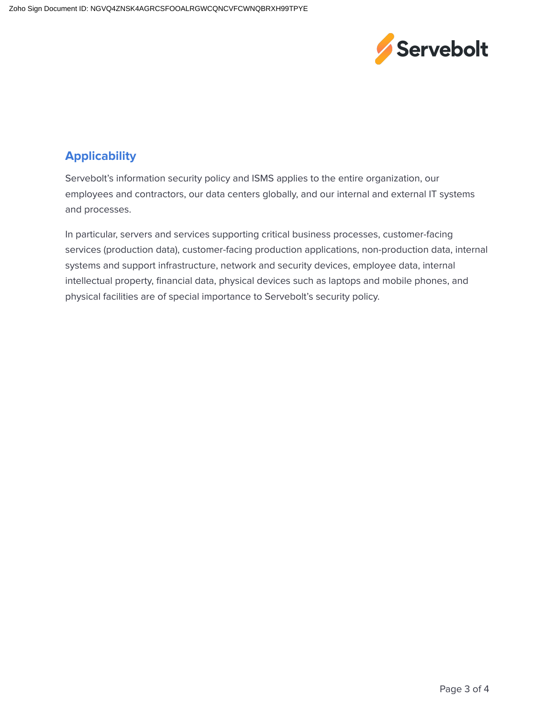

## **Applicability**

Servebolt's information security policy and ISMS applies to the entire organization, our employees and contractors, our data centers globally, and our internal and external IT systems and processes.

In particular, servers and services supporting critical business processes, customer-facing services (production data), customer-facing production applications, non-production data, internal systems and support infrastructure, network and security devices, employee data, internal intellectual property, financial data, physical devices such as laptops and mobile phones, and physical facilities are of special importance to Servebolt's security policy.